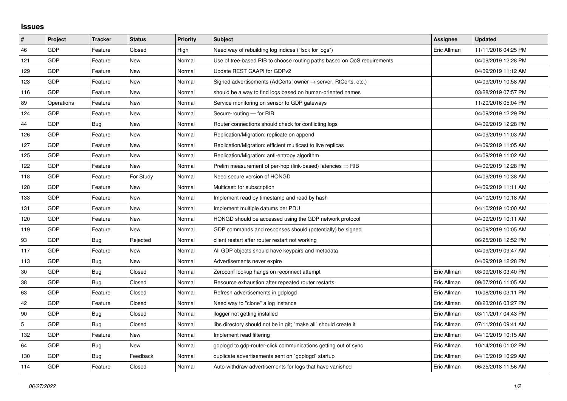## **Issues**

| #   | Project    | <b>Tracker</b> | <b>Status</b> | <b>Priority</b> | <b>Subject</b>                                                             | <b>Assignee</b> | <b>Updated</b>      |
|-----|------------|----------------|---------------|-----------------|----------------------------------------------------------------------------|-----------------|---------------------|
| 46  | <b>GDP</b> | Feature        | Closed        | High            | Need way of rebuilding log indices ("fsck for logs")                       | Eric Allman     | 11/11/2016 04:25 PM |
| 121 | GDP        | Feature        | New           | Normal          | Use of tree-based RIB to choose routing paths based on QoS requirements    |                 | 04/09/2019 12:28 PM |
| 129 | GDP        | Feature        | <b>New</b>    | Normal          | Update REST CAAPI for GDPv2                                                |                 | 04/09/2019 11:12 AM |
| 123 | GDP        | Feature        | New           | Normal          | Signed advertisements (AdCerts: owner $\rightarrow$ server, RtCerts, etc.) |                 | 04/09/2019 10:58 AM |
| 116 | GDP        | Feature        | New           | Normal          | should be a way to find logs based on human-oriented names                 |                 | 03/28/2019 07:57 PM |
| 89  | Operations | Feature        | <b>New</b>    | Normal          | Service monitoring on sensor to GDP gateways                               |                 | 11/20/2016 05:04 PM |
| 124 | <b>GDP</b> | Feature        | New           | Normal          | Secure-routing - for RIB                                                   |                 | 04/09/2019 12:29 PM |
| 44  | GDP        | Bug            | <b>New</b>    | Normal          | Router connections should check for conflicting logs                       |                 | 04/09/2019 12:28 PM |
| 126 | <b>GDP</b> | Feature        | New           | Normal          | Replication/Migration: replicate on append                                 |                 | 04/09/2019 11:03 AM |
| 127 | GDP        | Feature        | New           | Normal          | Replication/Migration: efficient multicast to live replicas                |                 | 04/09/2019 11:05 AM |
| 125 | GDP        | Feature        | <b>New</b>    | Normal          | Replication/Migration: anti-entropy algorithm                              |                 | 04/09/2019 11:02 AM |
| 122 | GDP        | Feature        | New           | Normal          | Prelim measurement of per-hop (link-based) latencies $\Rightarrow$ RIB     |                 | 04/09/2019 12:28 PM |
| 118 | GDP        | Feature        | For Study     | Normal          | Need secure version of HONGD                                               |                 | 04/09/2019 10:38 AM |
| 128 | GDP        | Feature        | <b>New</b>    | Normal          | Multicast: for subscription                                                |                 | 04/09/2019 11:11 AM |
| 133 | GDP        | Feature        | New           | Normal          | Implement read by timestamp and read by hash                               |                 | 04/10/2019 10:18 AM |
| 131 | GDP        | Feature        | New           | Normal          | Implement multiple datums per PDU                                          |                 | 04/10/2019 10:00 AM |
| 120 | GDP        | Feature        | <b>New</b>    | Normal          | HONGD should be accessed using the GDP network protocol                    |                 | 04/09/2019 10:11 AM |
| 119 | GDP        | Feature        | New           | Normal          | GDP commands and responses should (potentially) be signed                  |                 | 04/09/2019 10:05 AM |
| 93  | GDP        | Bug            | Rejected      | Normal          | client restart after router restart not working                            |                 | 06/25/2018 12:52 PM |
| 117 | GDP        | Feature        | New           | Normal          | All GDP objects should have keypairs and metadata                          |                 | 04/09/2019 09:47 AM |
| 113 | GDP        | Bug            | New           | Normal          | Advertisements never expire                                                |                 | 04/09/2019 12:28 PM |
| 30  | GDP        | <b>Bug</b>     | Closed        | Normal          | Zeroconf lookup hangs on reconnect attempt                                 | Eric Allman     | 08/09/2016 03:40 PM |
| 38  | GDP        | Bug            | Closed        | Normal          | Resource exhaustion after repeated router restarts                         | Eric Allman     | 09/07/2016 11:05 AM |
| 63  | GDP        | Feature        | Closed        | Normal          | Refresh advertisements in gdplogd                                          | Eric Allman     | 10/08/2016 03:11 PM |
| 42  | GDP        | Feature        | Closed        | Normal          | Need way to "clone" a log instance                                         | Eric Allman     | 08/23/2016 03:27 PM |
| 90  | GDP        | <b>Bug</b>     | Closed        | Normal          | llogger not getting installed                                              | Eric Allman     | 03/11/2017 04:43 PM |
| 5   | GDP        | Bug            | Closed        | Normal          | libs directory should not be in git; "make all" should create it           | Eric Allman     | 07/11/2016 09:41 AM |
| 132 | GDP        | Feature        | New           | Normal          | Implement read filtering                                                   | Eric Allman     | 04/10/2019 10:15 AM |
| 64  | GDP        | <b>Bug</b>     | New           | Normal          | gdplogd to gdp-router-click communications getting out of sync             | Eric Allman     | 10/14/2016 01:02 PM |
| 130 | GDP        | Bug            | Feedback      | Normal          | duplicate advertisements sent on `gdplogd` startup                         | Eric Allman     | 04/10/2019 10:29 AM |
| 114 | GDP        | Feature        | Closed        | Normal          | Auto-withdraw advertisements for logs that have vanished                   | Eric Allman     | 06/25/2018 11:56 AM |